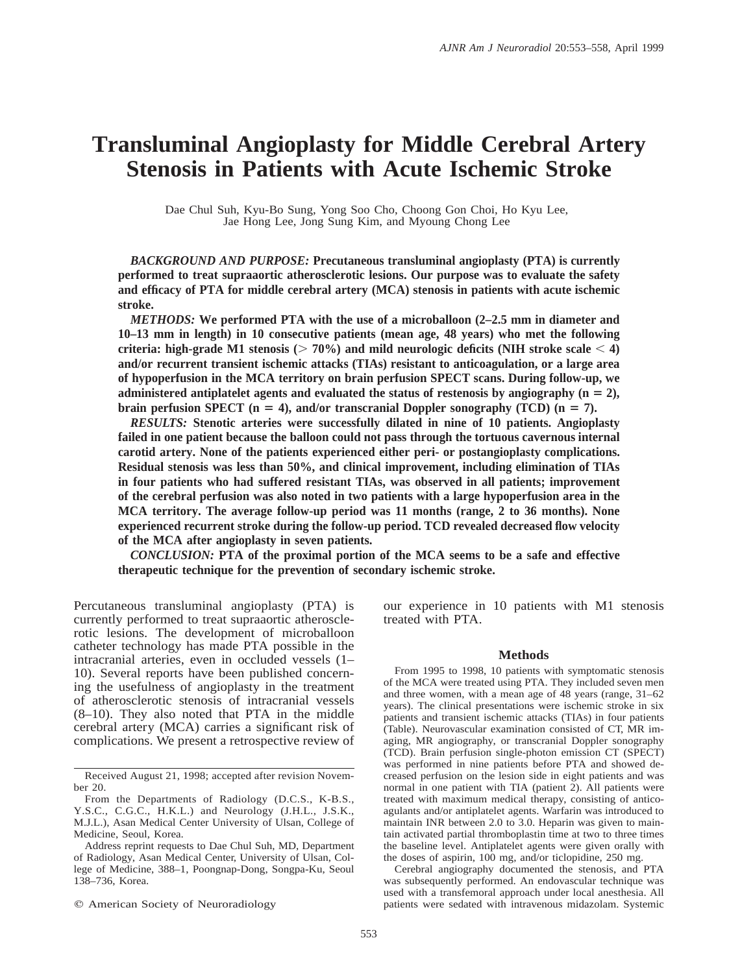# **Transluminal Angioplasty for Middle Cerebral Artery Stenosis in Patients with Acute Ischemic Stroke**

Dae Chul Suh, Kyu-Bo Sung, Yong Soo Cho, Choong Gon Choi, Ho Kyu Lee, Jae Hong Lee, Jong Sung Kim, and Myoung Chong Lee

*BACKGROUND AND PURPOSE:* **Precutaneous transluminal angioplasty (PTA) is currently performed to treat supraaortic atherosclerotic lesions. Our purpose was to evaluate the safety and efficacy of PTA for middle cerebral artery (MCA) stenosis in patients with acute ischemic stroke.**

*METHODS:* **We performed PTA with the use of a microballoon (2–2.5 mm in diameter and 10–13 mm in length) in 10 consecutive patients (mean age, 48 years) who met the following criteria:** high-grade M1 stenosis ( $> 70\%$ ) and mild neurologic deficits (NIH stroke scale  $< 4$ ) **and/or recurrent transient ischemic attacks (TIAs) resistant to anticoagulation, or a large area of hypoperfusion in the MCA territory on brain perfusion SPECT scans. During follow-up, we** administered antiplatelet agents and evaluated the status of restenosis by angiography  $(n = 2)$ , **brain perfusion SPECT** ( $n = 4$ ), and/or transcranial Doppler sonography (TCD) ( $n = 7$ ).

*RESULTS:* **Stenotic arteries were successfully dilated in nine of 10 patients. Angioplasty failed in one patient because the balloon could not pass through the tortuous cavernous internal carotid artery. None of the patients experienced either peri- or postangioplasty complications. Residual stenosis was less than 50%, and clinical improvement, including elimination of TIAs in four patients who had suffered resistant TIAs, was observed in all patients; improvement of the cerebral perfusion was also noted in two patients with a large hypoperfusion area in the MCA territory. The average follow-up period was 11 months (range, 2 to 36 months). None experienced recurrent stroke during the follow-up period. TCD revealed decreased flow velocity of the MCA after angioplasty in seven patients.**

*CONCLUSION:* **PTA of the proximal portion of the MCA seems to be a safe and effective therapeutic technique for the prevention of secondary ischemic stroke.**

Percutaneous transluminal angioplasty (PTA) is currently performed to treat supraaortic atherosclerotic lesions. The development of microballoon catheter technology has made PTA possible in the intracranial arteries, even in occluded vessels (1– 10). Several reports have been published concerning the usefulness of angioplasty in the treatment of atherosclerotic stenosis of intracranial vessels (8–10). They also noted that PTA in the middle cerebral artery (MCA) carries a significant risk of complications. We present a retrospective review of

 $©$  American Society of Neuroradiology

our experience in 10 patients with M1 stenosis treated with PTA.

### **Methods**

From 1995 to 1998, 10 patients with symptomatic stenosis of the MCA were treated using PTA. They included seven men and three women, with a mean age of 48 years (range, 31–62 years). The clinical presentations were ischemic stroke in six patients and transient ischemic attacks (TIAs) in four patients (Table). Neurovascular examination consisted of CT, MR imaging, MR angiography, or transcranial Doppler sonography (TCD). Brain perfusion single-photon emission CT (SPECT) was performed in nine patients before PTA and showed decreased perfusion on the lesion side in eight patients and was normal in one patient with TIA (patient 2). All patients were treated with maximum medical therapy, consisting of anticoagulants and/or antiplatelet agents. Warfarin was introduced to maintain INR between 2.0 to 3.0. Heparin was given to maintain activated partial thromboplastin time at two to three times the baseline level. Antiplatelet agents were given orally with the doses of aspirin, 100 mg, and/or ticlopidine, 250 mg.

Cerebral angiography documented the stenosis, and PTA was subsequently performed. An endovascular technique was used with a transfemoral approach under local anesthesia. All patients were sedated with intravenous midazolam. Systemic

Received August 21, 1998; accepted after revision November 20.

From the Departments of Radiology (D.C.S., K-B.S., Y.S.C., C.G.C., H.K.L.) and Neurology (J.H.L., J.S.K., M.J.L.), Asan Medical Center University of Ulsan, College of Medicine, Seoul, Korea.

Address reprint requests to Dae Chul Suh, MD, Department of Radiology, Asan Medical Center, University of Ulsan, College of Medicine, 388–1, Poongnap-Dong, Songpa-Ku, Seoul 138–736, Korea.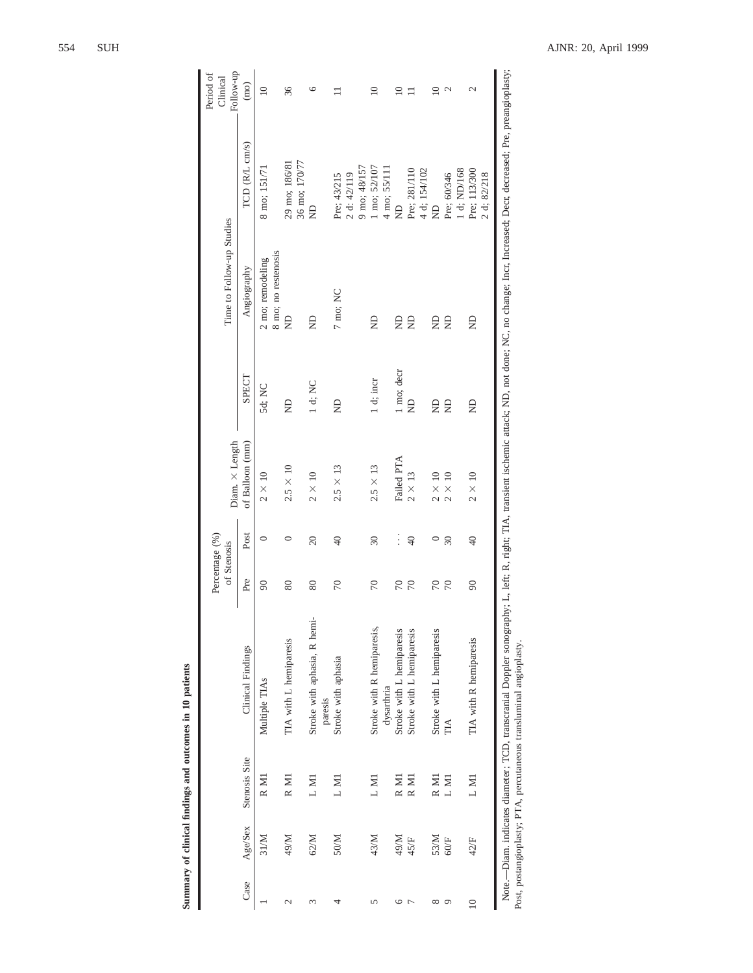|                |             |               |                                          |           | Percentage (%)<br>of Stenosis | Diam. $\times$ Length |            | Time to Follow-up Studies               |                                            | Follow-up<br>Period of<br>Clinical |
|----------------|-------------|---------------|------------------------------------------|-----------|-------------------------------|-----------------------|------------|-----------------------------------------|--------------------------------------------|------------------------------------|
| Case           | Age/Sex     | Stenosis Site | Clinical Findings                        | Pre       | Post                          | of Balloon (mm)       | SPECT      | Angiography                             | TCD (R/L cm/s)                             | (mo)                               |
|                | 31/M        | R M1          | Multiple TIAs                            | $\infty$  | $\circ$                       | $2 \times 10$         | 5d; NC     | 8 mo; no restenosis<br>2 mo; remodeling | 8 mo; 151/71                               | $\approx$                          |
| $\mathcal{L}$  | 49/M        | R M1          | TIA with L hemiparesis                   | 80        | 0                             | $2.5 \times 10$       | g          | g                                       | 36 mo; 170/77<br>29 mo; 186/81             | 36                                 |
| 3              | 62/M        | LM1           | Stroke with aphasia, R hemi-<br>paresis  | 80        | $\Omega$                      | $2 \times 10$         | 1 d; NC    | g                                       | £                                          | ৩                                  |
| ᆉ              | 50/M        | L M1          | Stroke with aphasia                      | $\approx$ | $\frac{1}{2}$                 | $2.5 \times 13$       | $\infty$   | 7 mo; NC                                | 9 mo; 48/157<br>2 d: 42/119<br>Pre; 43/215 |                                    |
| 5              | 43/M        | L M1          | Stroke with R hemiparesis,<br>dysarthria | $\approx$ | $\overline{30}$               | $2.5 \times 13$       | 1 d; incr  | g                                       | 1 mo; 52/107<br>4 mo; 55/111               | $\supseteq$                        |
| $\circ$        | M/67        | R M1          | Stroke with L hemiparesis                | $\approx$ | $\vdots$                      | Failed PTA            | 1 mo; decr | Ê                                       | ę                                          | $\supseteq$                        |
| $\overline{ }$ | 45/F        | R M1          | Stroke with L hemiparesis                | $\approx$ | $\overline{4}$                | $2 \times 13$         | g          | g                                       | Pre; 281/110<br>4 d; 154/102               |                                    |
| ${}^{\infty}$  | 53/M        | R M1          | Stroke with L hemiparesis                | 50        | $\circ$                       | $2 \times 10$         | g          | Ê                                       | $\triangleq$                               | $\subseteq$                        |
| $\circ$        | $60 \times$ | L M1          | $\mathbb{H}$                             | $\approx$ | $\mathfrak{D}$                | $2\times10$           | g          | g                                       | 1 d; ND/168<br>Pre; 60/346                 | $\mathbf 2$                        |
| $\supseteq$    | 42/F        | L M1          | TIA with R hemiparesis                   | $\infty$  | $\sqrt{4}$                    | $2 \times 10$         | g          | g                                       | Pre; 113/300<br>2 d; 82/218                | 2                                  |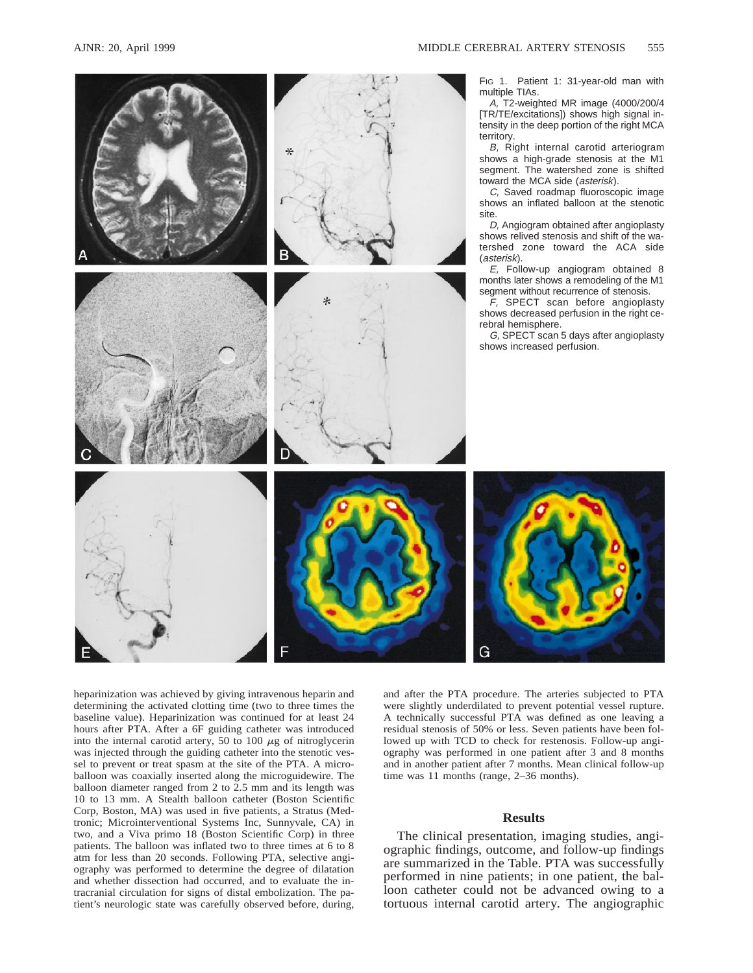

heparinization was achieved by giving intravenous heparin and determining the activated clotting time (two to three times the baseline value). Heparinization was continued for at least 24 hours after PTA. After a 6F guiding catheter was introduced into the internal carotid artery, 50 to 100  $\mu$ g of nitroglycerin was injected through the guiding catheter into the stenotic vessel to prevent or treat spasm at the site of the PTA. A microballoon was coaxially inserted along the microguidewire. The balloon diameter ranged from 2 to 2.5 mm and its length was 10 to 13 mm. A Stealth balloon catheter (Boston Scientific Corp, Boston, MA) was used in five patients, a Stratus (Medtronic; Microinterventional Systems Inc, Sunnyvale, CA) in two, and a Viva primo 18 (Boston Scientific Corp) in three patients. The balloon was inflated two to three times at 6 to 8 atm for less than 20 seconds. Following PTA, selective angiography was performed to determine the degree of dilatation and whether dissection had occurred, and to evaluate the intracranial circulation for signs of distal embolization. The patient's neurologic state was carefully observed before, during,

and after the PTA procedure. The arteries subjected to PTA were slightly underdilated to prevent potential vessel rupture. A technically successful PTA was defined as one leaving a residual stenosis of 50% or less. Seven patients have been followed up with TCD to check for restenosis. Follow-up angiography was performed in one patient after 3 and 8 months and in another patient after 7 months. Mean clinical follow-up time was 11 months (range, 2–36 months).

## **Results**

The clinical presentation, imaging studies, angiographic findings, outcome, and follow-up findings are summarized in the Table. PTA was successfully performed in nine patients; in one patient, the balloon catheter could not be advanced owing to a tortuous internal carotid artery. The angiographic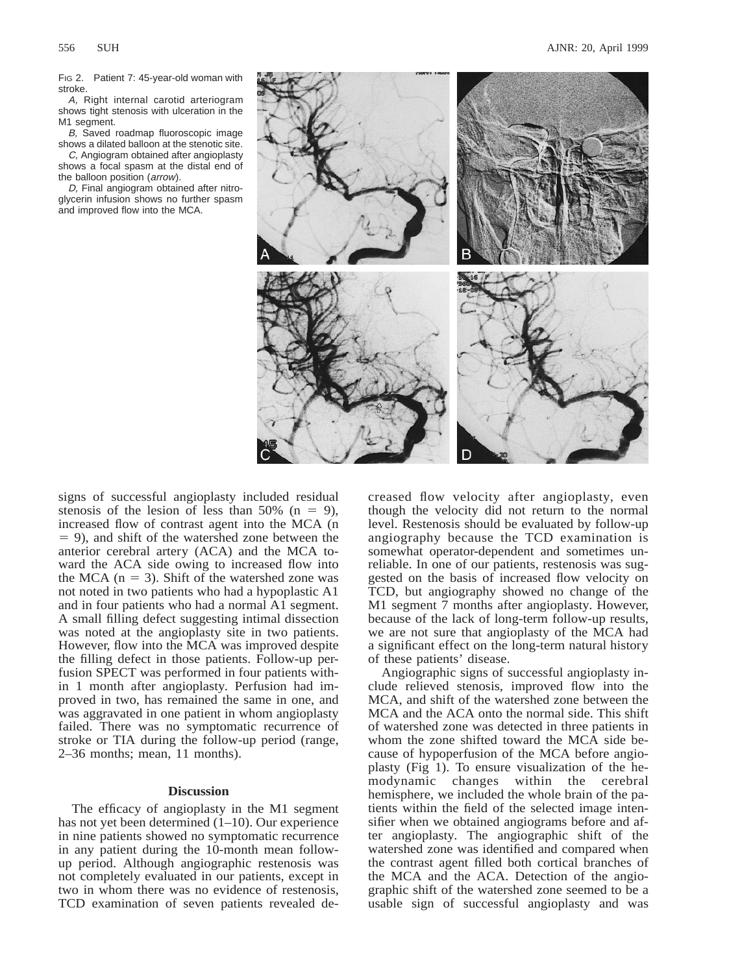FIG 2. Patient 7: 45-year-old woman with stroke.

A, Right internal carotid arteriogram shows tight stenosis with ulceration in the M1 seament.

B, Saved roadmap fluoroscopic image shows a dilated balloon at the stenotic site.

C, Angiogram obtained after angioplasty shows a focal spasm at the distal end of the balloon position (arrow).

D, Final angiogram obtained after nitroglycerin infusion shows no further spasm and improved flow into the MCA.



signs of successful angioplasty included residual stenosis of the lesion of less than 50% ( $n = 9$ ), increased flow of contrast agent into the MCA (n  $= 9$ ), and shift of the watershed zone between the anterior cerebral artery (ACA) and the MCA toward the ACA side owing to increased flow into the MCA ( $n = 3$ ). Shift of the watershed zone was not noted in two patients who had a hypoplastic A1 and in four patients who had a normal A1 segment. A small filling defect suggesting intimal dissection was noted at the angioplasty site in two patients. However, flow into the MCA was improved despite the filling defect in those patients. Follow-up perfusion SPECT was performed in four patients within 1 month after angioplasty. Perfusion had improved in two, has remained the same in one, and was aggravated in one patient in whom angioplasty failed. There was no symptomatic recurrence of stroke or TIA during the follow-up period (range, 2–36 months; mean, 11 months).

## **Discussion**

The efficacy of angioplasty in the M1 segment has not yet been determined  $(1-10)$ . Our experience in nine patients showed no symptomatic recurrence in any patient during the 10-month mean followup period. Although angiographic restenosis was not completely evaluated in our patients, except in two in whom there was no evidence of restenosis, TCD examination of seven patients revealed decreased flow velocity after angioplasty, even though the velocity did not return to the normal level. Restenosis should be evaluated by follow-up angiography because the TCD examination is somewhat operator-dependent and sometimes unreliable. In one of our patients, restenosis was suggested on the basis of increased flow velocity on TCD, but angiography showed no change of the M1 segment 7 months after angioplasty. However, because of the lack of long-term follow-up results, we are not sure that angioplasty of the MCA had a significant effect on the long-term natural history of these patients' disease.

Angiographic signs of successful angioplasty include relieved stenosis, improved flow into the MCA, and shift of the watershed zone between the MCA and the ACA onto the normal side. This shift of watershed zone was detected in three patients in whom the zone shifted toward the MCA side because of hypoperfusion of the MCA before angioplasty (Fig 1). To ensure visualization of the hemodynamic changes within the cerebral hemisphere, we included the whole brain of the patients within the field of the selected image intensifier when we obtained angiograms before and after angioplasty. The angiographic shift of the watershed zone was identified and compared when the contrast agent filled both cortical branches of the MCA and the ACA. Detection of the angiographic shift of the watershed zone seemed to be a usable sign of successful angioplasty and was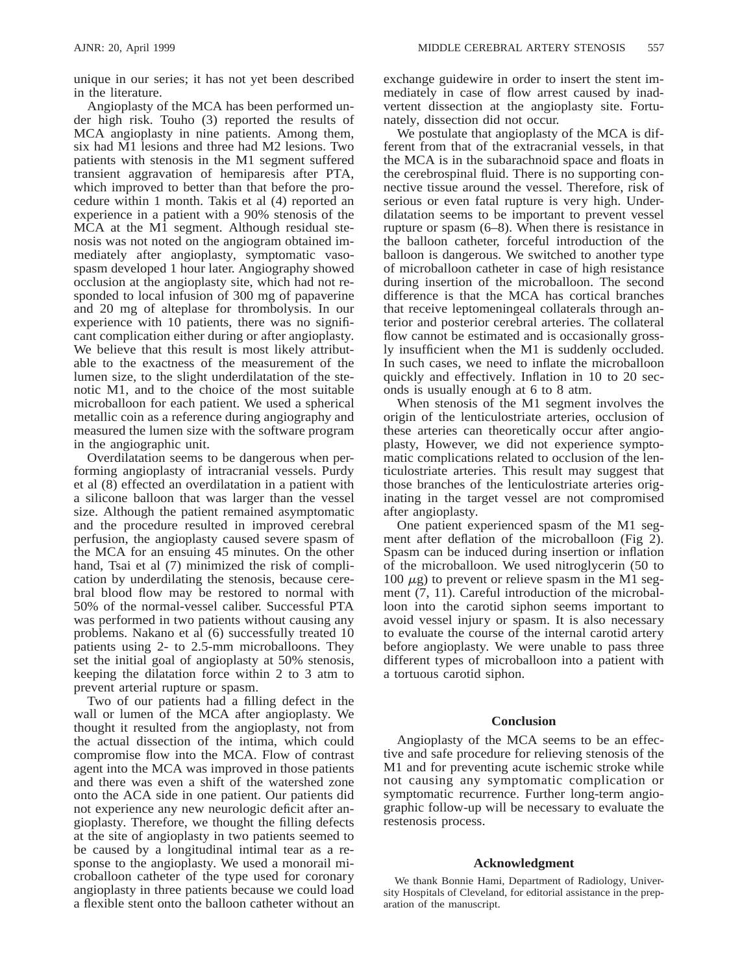unique in our series; it has not yet been described in the literature.

Angioplasty of the MCA has been performed under high risk. Touho (3) reported the results of MCA angioplasty in nine patients. Among them, six had M1 lesions and three had M2 lesions. Two patients with stenosis in the M1 segment suffered transient aggravation of hemiparesis after PTA, which improved to better than that before the procedure within 1 month. Takis et al (4) reported an experience in a patient with a 90% stenosis of the MCA at the M1 segment. Although residual stenosis was not noted on the angiogram obtained immediately after angioplasty, symptomatic vasospasm developed 1 hour later. Angiography showed occlusion at the angioplasty site, which had not responded to local infusion of 300 mg of papaverine and 20 mg of alteplase for thrombolysis. In our experience with 10 patients, there was no significant complication either during or after angioplasty. We believe that this result is most likely attributable to the exactness of the measurement of the lumen size, to the slight underdilatation of the stenotic M1, and to the choice of the most suitable microballoon for each patient. We used a spherical metallic coin as a reference during angiography and measured the lumen size with the software program in the angiographic unit.

Overdilatation seems to be dangerous when performing angioplasty of intracranial vessels. Purdy et al (8) effected an overdilatation in a patient with a silicone balloon that was larger than the vessel size. Although the patient remained asymptomatic and the procedure resulted in improved cerebral perfusion, the angioplasty caused severe spasm of the MCA for an ensuing 45 minutes. On the other hand, Tsai et al (7) minimized the risk of complication by underdilating the stenosis, because cerebral blood flow may be restored to normal with 50% of the normal-vessel caliber. Successful PTA was performed in two patients without causing any problems. Nakano et al (6) successfully treated 10 patients using 2- to 2.5-mm microballoons. They set the initial goal of angioplasty at 50% stenosis, keeping the dilatation force within 2 to 3 atm to prevent arterial rupture or spasm.

Two of our patients had a filling defect in the wall or lumen of the MCA after angioplasty. We thought it resulted from the angioplasty, not from the actual dissection of the intima, which could compromise flow into the MCA. Flow of contrast agent into the MCA was improved in those patients and there was even a shift of the watershed zone onto the ACA side in one patient. Our patients did not experience any new neurologic deficit after angioplasty. Therefore, we thought the filling defects at the site of angioplasty in two patients seemed to be caused by a longitudinal intimal tear as a response to the angioplasty. We used a monorail microballoon catheter of the type used for coronary angioplasty in three patients because we could load a flexible stent onto the balloon catheter without an exchange guidewire in order to insert the stent immediately in case of flow arrest caused by inadvertent dissection at the angioplasty site. Fortunately, dissection did not occur.

We postulate that angioplasty of the MCA is different from that of the extracranial vessels, in that the MCA is in the subarachnoid space and floats in the cerebrospinal fluid. There is no supporting connective tissue around the vessel. Therefore, risk of serious or even fatal rupture is very high. Underdilatation seems to be important to prevent vessel rupture or spasm (6–8). When there is resistance in the balloon catheter, forceful introduction of the balloon is dangerous. We switched to another type of microballoon catheter in case of high resistance during insertion of the microballoon. The second difference is that the MCA has cortical branches that receive leptomeningeal collaterals through anterior and posterior cerebral arteries. The collateral flow cannot be estimated and is occasionally grossly insufficient when the M1 is suddenly occluded. In such cases, we need to inflate the microballoon quickly and effectively. Inflation in 10 to 20 seconds is usually enough at 6 to 8 atm.

When stenosis of the M1 segment involves the origin of the lenticulostriate arteries, occlusion of these arteries can theoretically occur after angioplasty, However, we did not experience symptomatic complications related to occlusion of the lenticulostriate arteries. This result may suggest that those branches of the lenticulostriate arteries originating in the target vessel are not compromised after angioplasty.

One patient experienced spasm of the M1 segment after deflation of the microballoon (Fig 2). Spasm can be induced during insertion or inflation of the microballoon. We used nitroglycerin (50 to 100  $\mu$ g) to prevent or relieve spasm in the M1 segment (7, 11). Careful introduction of the microballoon into the carotid siphon seems important to avoid vessel injury or spasm. It is also necessary to evaluate the course of the internal carotid artery before angioplasty. We were unable to pass three different types of microballoon into a patient with a tortuous carotid siphon.

## **Conclusion**

Angioplasty of the MCA seems to be an effective and safe procedure for relieving stenosis of the M1 and for preventing acute ischemic stroke while not causing any symptomatic complication or symptomatic recurrence. Further long-term angiographic follow-up will be necessary to evaluate the restenosis process.

## **Acknowledgment**

We thank Bonnie Hami, Department of Radiology, University Hospitals of Cleveland, for editorial assistance in the preparation of the manuscript.